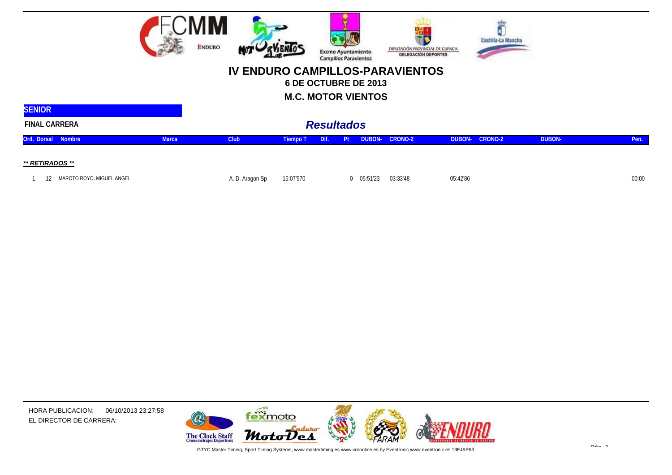

## **IV ENDURO CAMPILLOS-PARAVIENTOS**

**6 DE OCTUBRE DE 2013**

**M.C. MOTOR VIENTOS**

| <b>SENIOR</b>                   |              |                 |           |                   |        |          |                       |          |         |               |       |
|---------------------------------|--------------|-----------------|-----------|-------------------|--------|----------|-----------------------|----------|---------|---------------|-------|
| <b>FINAL CARRERA</b>            |              |                 |           | <b>Resultados</b> |        |          |                       |          |         |               |       |
| Ord. Dorsal Nombre              | <b>Marca</b> | Club            | Tiempo T  | Dif.              | / Pt / |          | <b>DUBON- CRONO-2</b> | DUBON-   | CRONO-2 | <b>DUBON-</b> | Pen.  |
| ** RETIRADOS **                 |              |                 |           |                   |        |          |                       |          |         |               |       |
| MAROTO ROYO, MIGUEL ANGEL<br>12 |              | A. D. Aragon Sp | 15:07'570 |                   |        | 05:51'23 | 03:33'48              | 05:42'86 |         |               | 00:00 |

HORA PUBLICACION: 06/10/2013 23:27:58 EL DIRECTOR DE CARRERA:



GTYC Master Timing, Sport Timing Systems, www.mastertiming.es www.cronoline.es by Eventronic www.eventronic.es 19FJAP63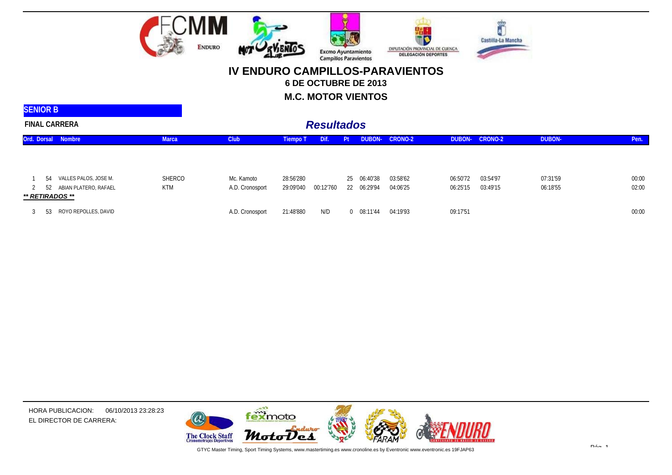

## **IV ENDURO CAMPILLOS-PARAVIENTOS6 DE OCTUBRE DE 2013**

**M.C. MOTOR VIENTOS**

| <b>SENIOR B</b>                                             |               |                               |                        |                   |                            |                      |                      |                      |                      |                |
|-------------------------------------------------------------|---------------|-------------------------------|------------------------|-------------------|----------------------------|----------------------|----------------------|----------------------|----------------------|----------------|
| <b>FINAL CARRERA</b>                                        |               |                               |                        | <b>Resultados</b> |                            |                      |                      |                      |                      |                |
| Ord. Dorsal Nombre                                          | <b>Marca</b>  | Club                          | <b>Tiempo T</b>        | Dif.              | DUBON-<br>Pt               | CRONO-2              | DUBON-               | CRONO-2              | <b>DUBON-</b>        | Pen.           |
| VALLES PALOS, JOSE M.<br>-54<br>ABIAN PLATERO, RAFAEL<br>52 | SHERCO<br>KTM | Mc. Kamoto<br>A.D. Cronosport | 28:56'280<br>29:09'040 | 00:12'760         | 25 06:40'38<br>22 06:29'94 | 03:58'62<br>04:06'25 | 06:50'72<br>06:25'15 | 03:54'97<br>03:49'15 | 07:31'59<br>06:18'55 | 00:00<br>02:00 |
| ** RETIRADOS **<br>ROYO REPOLLES, DAVID<br>53               |               | A.D. Cronosport               | 21:48'880              | N/D               | $0$ $08:11'44$             | 04:19'93             | 09:17'51             |                      |                      | 00:00          |



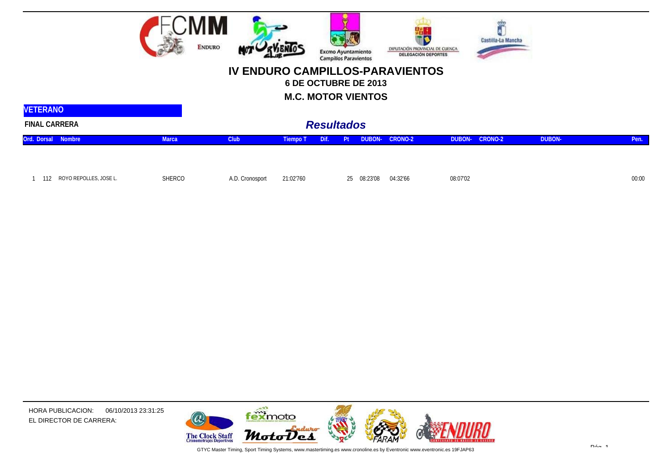

## **IV ENDURO CAMPILLOS-PARAVIENTOS**

**6 DE OCTUBRE DE 2013**

**M.C. MOTOR VIENTOS**

| <b>VETERANO</b>               |              |                   |           |      |    |             |                       |          |                       |        |       |
|-------------------------------|--------------|-------------------|-----------|------|----|-------------|-----------------------|----------|-----------------------|--------|-------|
| <b>FINAL CARRERA</b>          |              | <b>Resultados</b> |           |      |    |             |                       |          |                       |        |       |
| Ord. Dorsal Nombre            | <b>Marca</b> | Club              | Tiempo T  | Dif. | Pt |             | <b>DUBON- CRONO-2</b> |          | <b>DUBON- CRONO-2</b> | DUBON- | Pen.  |
|                               |              |                   |           |      |    |             |                       |          |                       |        |       |
| ROYO REPOLLES, JOSE L.<br>112 | SHERCO       | A.D. Cronosport   | 21:02'760 |      |    | 25 08:23'08 | 04:32'66              | 08:07'02 |                       |        | 00:00 |

HORA PUBLICACION: 06/10/2013 23:31:25EL DIRECTOR DE CARRERA:



GTYC Master Timing, Sport Timing Systems, www.mastertiming.es www.cronoline.es by Eventronic www.eventronic.es 19FJAP63